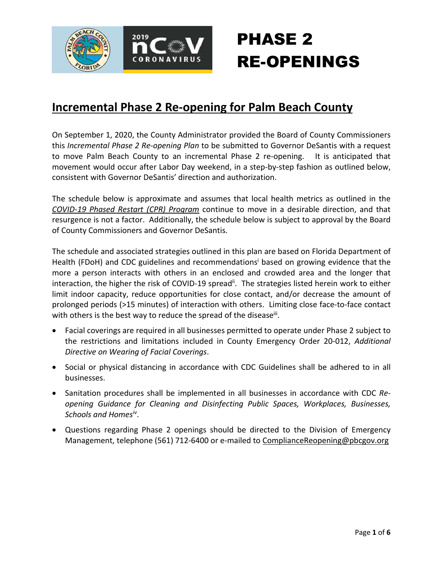

### **Incremental Phase 2 Re-opening for Palm Beach County**

On September 1, 2020, the County Administrator provided the Board of County Commissioners this *Incremental Phase 2 Re-opening Plan* to be submitted to Governor DeSantis with a request to move Palm Beach County to an incremental Phase 2 re-opening. It is anticipated that movement would occur after Labor Day weekend, in a step-by-step fashion as outlined below, consistent with Governor DeSantis' direction and authorization.

The schedule below is approximate and assumes that local health metrics as outlined in the *COVID-19 Phased Restart (CPR) Program* continue to move in a desirable direction, and that resurgence is not a factor. Additionally, the schedule below is subject to approval by the Board of County Commissioners and Governor DeSantis.

The schedule and associated strategies outlined in this plan are based on Florida Department of Health (FDoH) and CDC guidelines and recommendations<sup>i</sup> based on growing evidence that the more a person interacts with others in an enclosed and crowded area and the longer that interaction, the higher the risk of COVID-19 spread<sup>ii</sup>. The strategies listed herein work to either limit indoor capacity, reduce opportunities for close contact, and/or decrease the amount of prolonged periods (>15 minutes) of interaction with others. Limiting close face-to-face contact with others is the best way to reduce the spread of the diseaseii.

- Facial coverings are required in all businesses permitted to operate under Phase 2 subject to the restrictions and limitations included in County Emergency Order 20-012, *Additional Directive on Wearing of Facial Coverings*.
- Social or physical distancing in accordance with CDC Guidelines shall be adhered to in all businesses.
- Sanitation procedures shall be implemented in all businesses in accordance with CDC *Reopening Guidance for Cleaning and Disinfecting Public Spaces, Workplaces, Businesses, Schools and Homesiv*.
- Questions regarding Phase 2 openings should be directed to the Division of Emergency Management, telephone (561) 712-6400 or e-mailed to ComplianceReopening@pbcgov.org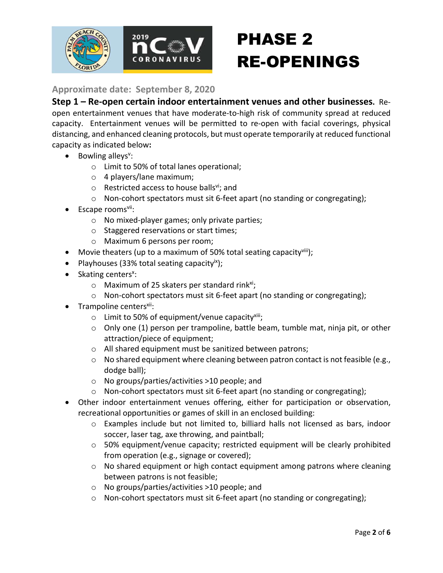

**Approximate date: September 8, 2020**

**Step 1 – Re-open certain indoor entertainment venues and other businesses.** Reopen entertainment venues that have moderate-to-high risk of community spread at reduced capacity. Entertainment venues will be permitted to re-open with facial coverings, physical distancing, and enhanced cleaning protocols, but must operate temporarily at reduced functional capacity as indicated below**:**

- Bowling alleys<sup>v</sup>:
	- o Limit to 50% of total lanes operational;
	- o 4 players/lane maximum;
	- $\circ$  Restricted access to house balls<sup>vi</sup>; and
	- o Non-cohort spectators must sit 6-feet apart (no standing or congregating);
- $\bullet$  Escape rooms<sup>vii</sup>:
	- o No mixed-player games; only private parties;
	- o Staggered reservations or start times;
	- o Maximum 6 persons per room;
- Movie theaters (up to a maximum of 50% total seating capacity  $\frac{1}{1}$ );
- Playhouses (33% total seating capacity $(x)$ );
- Skating centers<sup>x</sup>:
	- $\circ$  Maximum of 25 skaters per standard rink<sup>xi</sup>;
	- $\circ$  Non-cohort spectators must sit 6-feet apart (no standing or congregating);
- $\bullet$  Trampoline centers<sup>xii</sup>:
	- $\circ$  Limit to 50% of equipment/venue capacity<sup>xiii</sup>;
	- o Only one (1) person per trampoline, battle beam, tumble mat, ninja pit, or other attraction/piece of equipment;
	- o All shared equipment must be sanitized between patrons;
	- o No shared equipment where cleaning between patron contact is not feasible (e.g., dodge ball);
	- o No groups/parties/activities >10 people; and
	- o Non-cohort spectators must sit 6-feet apart (no standing or congregating);
- Other indoor entertainment venues offering, either for participation or observation, recreational opportunities or games of skill in an enclosed building:
	- o Examples include but not limited to, billiard halls not licensed as bars, indoor soccer, laser tag, axe throwing, and paintball;
	- $\circ$  50% equipment/venue capacity; restricted equipment will be clearly prohibited from operation (e.g., signage or covered);
	- o No shared equipment or high contact equipment among patrons where cleaning between patrons is not feasible;
	- o No groups/parties/activities >10 people; and
	- $\circ$  Non-cohort spectators must sit 6-feet apart (no standing or congregating);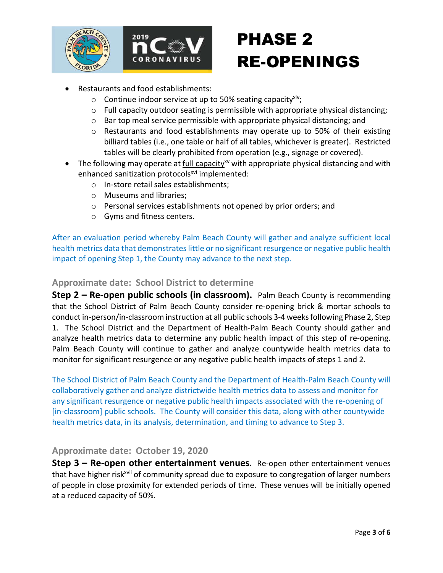

- Restaurants and food establishments:
	- $\circ$  Continue indoor service at up to 50% seating capacity<sup>xiv</sup>;
	- $\circ$  Full capacity outdoor seating is permissible with appropriate physical distancing;
	- o Bar top meal service permissible with appropriate physical distancing; and
	- $\circ$  Restaurants and food establishments may operate up to 50% of their existing billiard tables (i.e., one table or half of all tables, whichever is greater). Restricted tables will be clearly prohibited from operation (e.g., signage or covered).
- The following may operate at full capacity<sup>xy</sup> with appropriate physical distancing and with enhanced sanitization protocols<sup>xvi</sup> implemented:
	- o In-store retail sales establishments;
	- o Museums and libraries;
	- o Personal services establishments not opened by prior orders; and
	- o Gyms and fitness centers.

After an evaluation period whereby Palm Beach County will gather and analyze sufficient local health metrics data that demonstrates little or no significant resurgence or negative public health impact of opening Step 1, the County may advance to the next step.

#### **Approximate date: School District to determine**

**Step 2 – Re-open public schools (in classroom).** Palm Beach County is recommending that the School District of Palm Beach County consider re-opening brick & mortar schools to conduct in-person/in-classroom instruction at all public schools 3-4 weeks following Phase 2, Step 1. The School District and the Department of Health-Palm Beach County should gather and analyze health metrics data to determine any public health impact of this step of re-opening. Palm Beach County will continue to gather and analyze countywide health metrics data to monitor for significant resurgence or any negative public health impacts of steps 1 and 2.

The School District of Palm Beach County and the Department of Health-Palm Beach County will collaboratively gather and analyze districtwide health metrics data to assess and monitor for any significant resurgence or negative public health impacts associated with the re-opening of [in-classroom] public schools. The County will consider this data, along with other countywide health metrics data, in its analysis, determination, and timing to advance to Step 3.

#### **Approximate date: October 19, 2020**

**Step 3 – Re-open other entertainment venues.** Re-open other entertainment venues that have higher risk<sup>xvii</sup> of community spread due to exposure to congregation of larger numbers of people in close proximity for extended periods of time. These venues will be initially opened at a reduced capacity of 50%.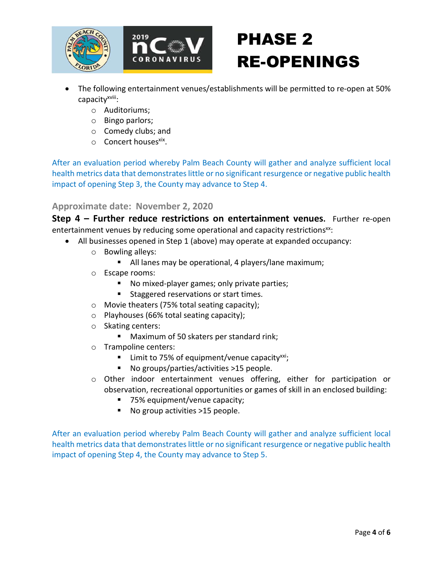

- The following entertainment venues/establishments will be permitted to re-open at 50% capacity<sup>xviii</sup>:
	- o Auditoriums;
	- o Bingo parlors;
	- o Comedy clubs; and
	- $\circ$  Concert houses<sup>xix</sup>.

After an evaluation period whereby Palm Beach County will gather and analyze sufficient local health metrics data that demonstrates little or no significant resurgence or negative public health impact of opening Step 3, the County may advance to Step 4.

#### **Approximate date: November 2, 2020**

**Step 4 – Further reduce restrictions on entertainment venues.** Further re-open entertainment venues by reducing some operational and capacity restrictions<sup>xx</sup>:

- All businesses opened in Step 1 (above) may operate at expanded occupancy:
	- o Bowling alleys:
		- All lanes may be operational, 4 players/lane maximum;
	- o Escape rooms:
		- No mixed-player games; only private parties;
		- **Staggered reservations or start times.**
	- o Movie theaters (75% total seating capacity);
	- o Playhouses (66% total seating capacity);
	- o Skating centers:
		- **Maximum of 50 skaters per standard rink;**
	- o Trampoline centers:
		- **EXECUTE:** Limit to 75% of equipment/venue capacity<sup>xxi</sup>;
		- No groups/parties/activities >15 people.
	- o Other indoor entertainment venues offering, either for participation or observation, recreational opportunities or games of skill in an enclosed building:
		- 75% equipment/venue capacity;
		- No group activities >15 people.

After an evaluation period whereby Palm Beach County will gather and analyze sufficient local health metrics data that demonstrates little or no significant resurgence or negative public health impact of opening Step 4, the County may advance to Step 5.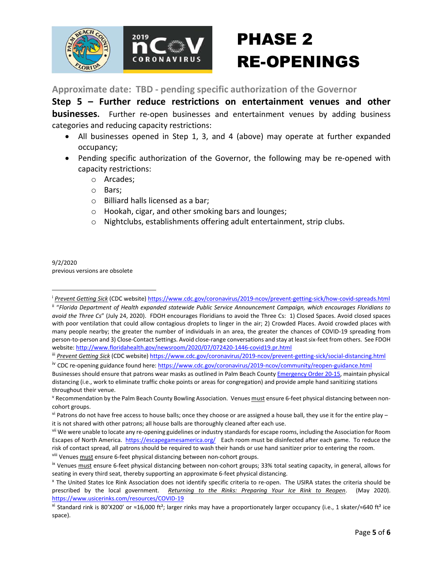

**Approximate date: TBD - pending specific authorization of the Governor**

**Step 5 – Further reduce restrictions on entertainment venues and other businesses.** Further re-open businesses and entertainment venues by adding business categories and reducing capacity restrictions:

- All businesses opened in Step 1, 3, and 4 (above) may operate at further expanded occupancy;
- Pending specific authorization of the Governor, the following may be re-opened with capacity restrictions:
	- o Arcades;
	- o Bars;
	- o Billiard halls licensed as a bar;
	- o Hookah, cigar, and other smoking bars and lounges;
	- o Nightclubs, establishments offering adult entertainment, strip clubs.

9/2/2020 previous versions are obsolete

Prevent Getting Sick (CDC website) https://www.cdc.gov/coronavirus/2019-ncov/prevent-getting-sick/how-covid-spreads.html

ii "*Florida Department of Health expanded statewide Public Service Announcement Campaign, which encourages Floridians to avoid the Three Cs*" (July 24, 2020). FDOH encourages Floridians to avoid the Three Cs: 1) Closed Spaces. Avoid closed spaces with poor ventilation that could allow contagious droplets to linger in the air; 2) Crowded Places. Avoid crowded places with many people nearby; the greater the number of individuals in an area, the greater the chances of COVID-19 spreading from person-to-person and 3) Close-Contact Settings. Avoid close-range conversations and stay at least six-feet from others. See FDOH website: http://www.floridahealth.gov/newsroom/2020/07/072420-1446-covid19.pr.html

iii *Prevent Getting Sick* (CDC website) https://www.cdc.gov/coronavirus/2019-ncov/prevent-getting-sick/social-distancing.html

<sup>&</sup>lt;sup>iv</sup> CDC re-opening guidance found here: https://www.cdc.gov/coronavirus/2019-ncov/community/reopen-guidance.html Businesses should ensure that patrons wear masks as outlined in Palm Beach County Emergency Order 20-15, maintain physical distancing (i.e., work to eliminate traffic choke points or areas for congregation) and provide ample hand sanitizing stations throughout their venue.

<sup>&</sup>lt;sup>v</sup> Recommendation by the Palm Beach County Bowling Association. Venues must ensure 6-feet physical distancing between noncohort groups.

 $v_i$  Patrons do not have free access to house balls; once they choose or are assigned a house ball, they use it for the entire play – it is not shared with other patrons; all house balls are thoroughly cleaned after each use.

<sup>&</sup>lt;sup>vii</sup> We were unable to locate any re-opening guidelines or industry standards for escape rooms, including the Association for Room Escapes of North America. https://escapegamesamerica.org/ Each room must be disinfected after each game. To reduce the risk of contact spread, all patrons should be required to wash their hands or use hand sanitizer prior to entering the room.

viii Venues must ensure 6-feet physical distancing between non-cohort groups.

ix Venues must ensure 6-feet physical distancing between non-cohort groups; 33% total seating capacity, in general, allows for seating in every third seat, thereby supporting an approximate 6-feet physical distancing.

<sup>x</sup> The United States Ice Rink Association does not identify specific criteria to re-open. The USIRA states the criteria should be prescribed by the local government. *Returning to the Rinks: Preparing Your Ice Rink to Reopen*. (May 2020). https://www.usicerinks.com/resources/COVID-19

xi Standard rink is 80'X200' or ≈16,000 ft²; larger rinks may have a proportionately larger occupancy (i.e., 1 skater/≈640 ft² ice space).